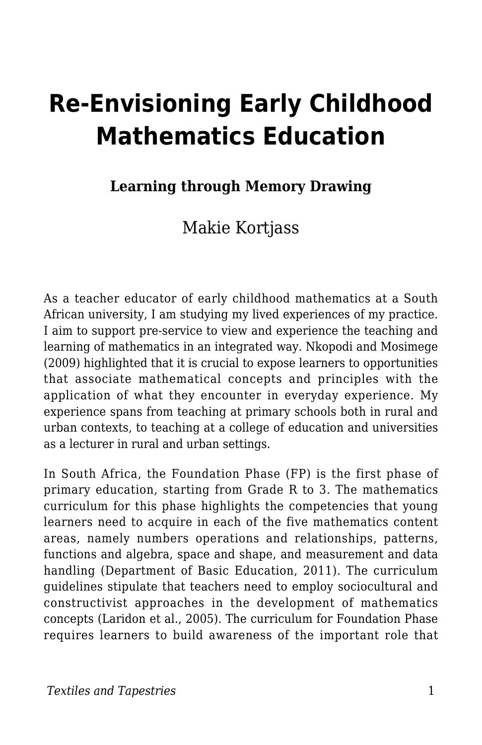# **Re-Envisioning Early Childhood Mathematics Education**

## **Learning through Memory Drawing**

## Makie Kortjass

As a teacher educator of early childhood mathematics at a South African university, I am studying my lived experiences of my practice. I aim to support pre-service to view and experience the teaching and learning of mathematics in an integrated way. Nkopodi and Mosimege (2009) highlighted that it is crucial to expose learners to opportunities that associate mathematical concepts and principles with the application of what they encounter in everyday experience. My experience spans from teaching at primary schools both in rural and urban contexts, to teaching at a college of education and universities as a lecturer in rural and urban settings.

In South Africa, the Foundation Phase (FP) is the first phase of primary education, starting from Grade R to 3. The mathematics curriculum for this phase highlights the competencies that young learners need to acquire in each of the five mathematics content areas, namely numbers operations and relationships, patterns, functions and algebra, space and shape, and measurement and data handling (Department of Basic Education, 2011). The curriculum guidelines stipulate that teachers need to employ sociocultural and constructivist approaches in the development of mathematics concepts (Laridon et al., 2005). The curriculum for Foundation Phase requires learners to build awareness of the important role that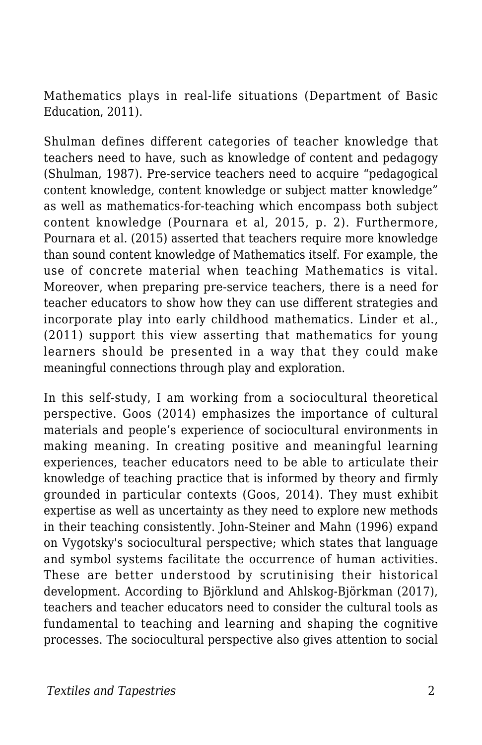Mathematics plays in real-life situations (Department of Basic Education, 2011).

Shulman defines different categories of teacher knowledge that teachers need to have, such as knowledge of content and pedagogy (Shulman, 1987). Pre-service teachers need to acquire "pedagogical content knowledge, content knowledge or subject matter knowledge" as well as mathematics-for-teaching which encompass both subject content knowledge (Pournara et al, 2015, p. 2). Furthermore, Pournara et al. (2015) asserted that teachers require more knowledge than sound content knowledge of Mathematics itself. For example, the use of concrete material when teaching Mathematics is vital. Moreover, when preparing pre-service teachers, there is a need for teacher educators to show how they can use different strategies and incorporate play into early childhood mathematics. Linder et al., (2011) support this view asserting that mathematics for young learners should be presented in a way that they could make meaningful connections through play and exploration.

In this self-study, I am working from a sociocultural theoretical perspective. Goos (2014) emphasizes the importance of cultural materials and people's experience of sociocultural environments in making meaning. In creating positive and meaningful learning experiences, teacher educators need to be able to articulate their knowledge of teaching practice that is informed by theory and firmly grounded in particular contexts (Goos, 2014). They must exhibit expertise as well as uncertainty as they need to explore new methods in their teaching consistently. John-Steiner and Mahn (1996) expand on Vygotsky's sociocultural perspective; which states that language and symbol systems facilitate the occurrence of human activities. These are better understood by scrutinising their historical development. According to Björklund and Ahlskog-Björkman (2017), teachers and teacher educators need to consider the cultural tools as fundamental to teaching and learning and shaping the cognitive processes. The sociocultural perspective also gives attention to social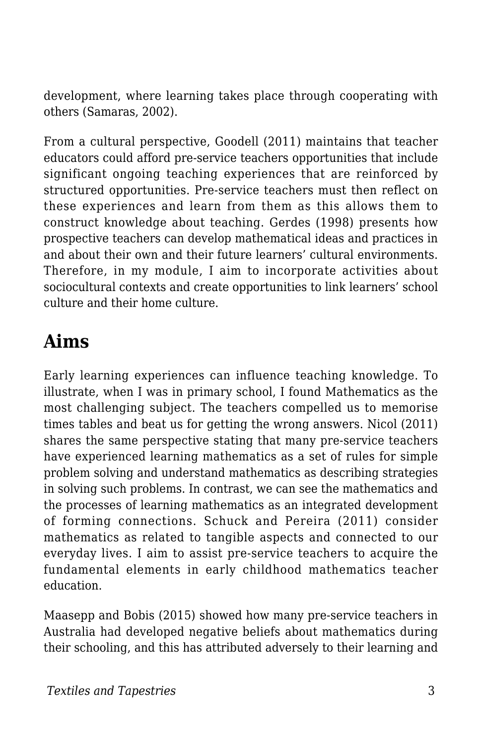development, where learning takes place through cooperating with others (Samaras, 2002).

From a cultural perspective, Goodell (2011) maintains that teacher educators could afford pre-service teachers opportunities that include significant ongoing teaching experiences that are reinforced by structured opportunities. Pre-service teachers must then reflect on these experiences and learn from them as this allows them to construct knowledge about teaching. Gerdes (1998) presents how prospective teachers can develop mathematical ideas and practices in and about their own and their future learners' cultural environments. Therefore, in my module, I aim to incorporate activities about sociocultural contexts and create opportunities to link learners' school culture and their home culture.

## **Aims**

Early learning experiences can influence teaching knowledge. To illustrate, when I was in primary school, I found Mathematics as the most challenging subject. The teachers compelled us to memorise times tables and beat us for getting the wrong answers. Nicol (2011) shares the same perspective stating that many pre-service teachers have experienced learning mathematics as a set of rules for simple problem solving and understand mathematics as describing strategies in solving such problems. In contrast, we can see the mathematics and the processes of learning mathematics as an integrated development of forming connections. Schuck and Pereira (2011) consider mathematics as related to tangible aspects and connected to our everyday lives. I aim to assist pre-service teachers to acquire the fundamental elements in early childhood mathematics teacher education.

Maasepp and Bobis (2015) showed how many pre-service teachers in Australia had developed negative beliefs about mathematics during their schooling, and this has attributed adversely to their learning and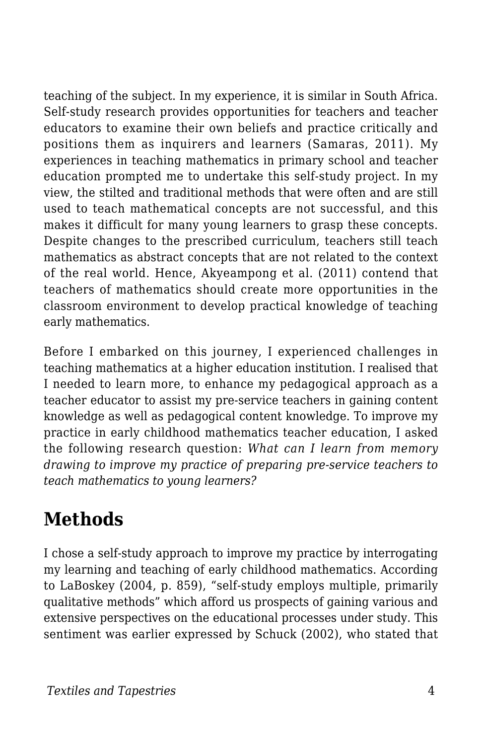teaching of the subject. In my experience, it is similar in South Africa. Self-study research provides opportunities for teachers and teacher educators to examine their own beliefs and practice critically and positions them as inquirers and learners (Samaras, 2011). My experiences in teaching mathematics in primary school and teacher education prompted me to undertake this self-study project. In my view, the stilted and traditional methods that were often and are still used to teach mathematical concepts are not successful, and this makes it difficult for many young learners to grasp these concepts. Despite changes to the prescribed curriculum, teachers still teach mathematics as abstract concepts that are not related to the context of the real world. Hence, Akyeampong et al. (2011) contend that teachers of mathematics should create more opportunities in the classroom environment to develop practical knowledge of teaching early mathematics.

Before I embarked on this journey, I experienced challenges in teaching mathematics at a higher education institution. I realised that I needed to learn more, to enhance my pedagogical approach as a teacher educator to assist my pre-service teachers in gaining content knowledge as well as pedagogical content knowledge. To improve my practice in early childhood mathematics teacher education, I asked the following research question: *What can I learn from memory drawing to improve my practice of preparing pre-service teachers to teach mathematics to young learners?*

## **Methods**

I chose a self-study approach to improve my practice by interrogating my learning and teaching of early childhood mathematics. According to LaBoskey (2004, p. 859), "self-study employs multiple, primarily qualitative methods" which afford us prospects of gaining various and extensive perspectives on the educational processes under study. This sentiment was earlier expressed by Schuck (2002), who stated that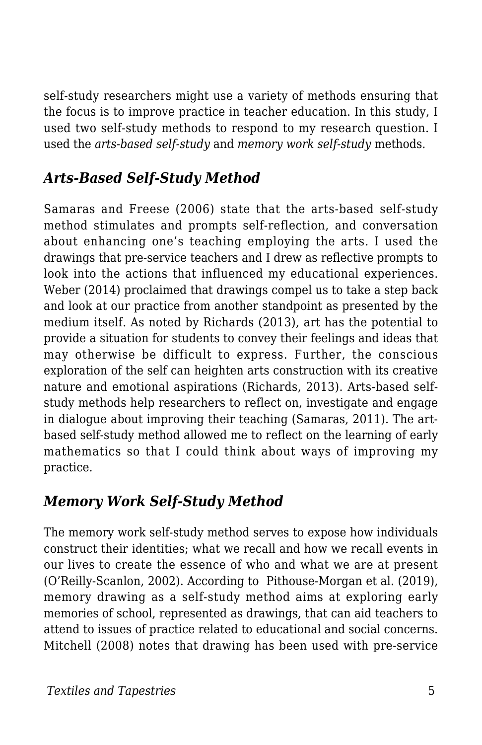self-study researchers might use a variety of methods ensuring that the focus is to improve practice in teacher education. In this study, I used two self-study methods to respond to my research question. I used the *arts-based self-study* and *memory work self-study* methods*.*

## *Arts-Based Self-Study Method*

Samaras and Freese (2006) state that the arts-based self-study method stimulates and prompts self-reflection, and conversation about enhancing one's teaching employing the arts. I used the drawings that pre-service teachers and I drew as reflective prompts to look into the actions that influenced my educational experiences. Weber (2014) proclaimed that drawings compel us to take a step back and look at our practice from another standpoint as presented by the medium itself. As noted by Richards (2013), art has the potential to provide a situation for students to convey their feelings and ideas that may otherwise be difficult to express. Further, the conscious exploration of the self can heighten arts construction with its creative nature and emotional aspirations (Richards, 2013). Arts-based selfstudy methods help researchers to reflect on, investigate and engage in dialogue about improving their teaching (Samaras, 2011). The artbased self-study method allowed me to reflect on the learning of early mathematics so that I could think about ways of improving my practice.

## *Memory Work Self-Study Method*

The memory work self-study method serves to expose how individuals construct their identities; what we recall and how we recall events in our lives to create the essence of who and what we are at present (O'Reilly-Scanlon, 2002). According to Pithouse-Morgan et al. (2019), memory drawing as a self-study method aims at exploring early memories of school, represented as drawings, that can aid teachers to attend to issues of practice related to educational and social concerns. Mitchell (2008) notes that drawing has been used with pre-service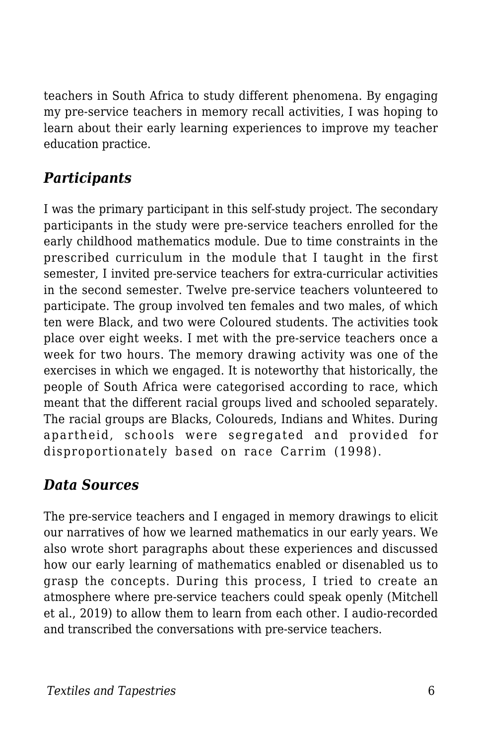teachers in South Africa to study different phenomena. By engaging my pre-service teachers in memory recall activities, I was hoping to learn about their early learning experiences to improve my teacher education practice.

## *Participants*

I was the primary participant in this self-study project. The secondary participants in the study were pre-service teachers enrolled for the early childhood mathematics module. Due to time constraints in the prescribed curriculum in the module that I taught in the first semester, I invited pre-service teachers for extra-curricular activities in the second semester. Twelve pre-service teachers volunteered to participate. The group involved ten females and two males, of which ten were Black, and two were Coloured students. The activities took place over eight weeks. I met with the pre-service teachers once a week for two hours. The memory drawing activity was one of the exercises in which we engaged. It is noteworthy that historically, the people of South Africa were categorised according to race, which meant that the different racial groups lived and schooled separately. The racial groups are Blacks, Coloureds, Indians and Whites. During apartheid, schools were segregated and provided for disproportionately based on race Carrim (1998).

## *Data Sources*

The pre-service teachers and I engaged in memory drawings to elicit our narratives of how we learned mathematics in our early years. We also wrote short paragraphs about these experiences and discussed how our early learning of mathematics enabled or disenabled us to grasp the concepts. During this process, I tried to create an atmosphere where pre-service teachers could speak openly (Mitchell et al., 2019) to allow them to learn from each other. I audio-recorded and transcribed the conversations with pre-service teachers.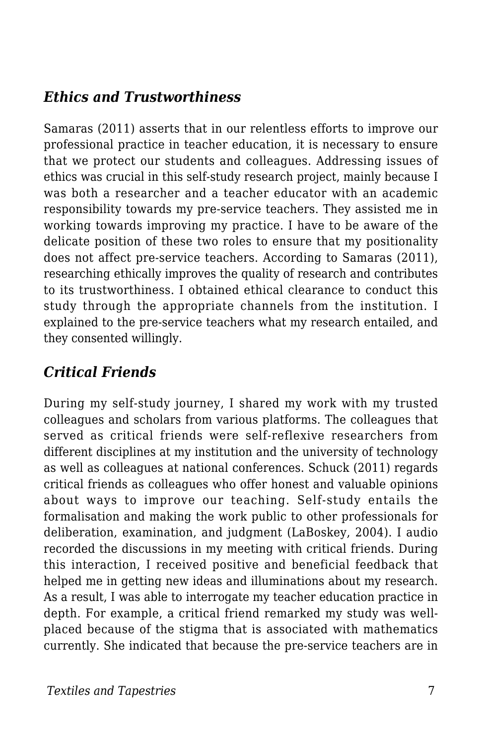## *Ethics and Trustworthiness*

Samaras (2011) asserts that in our relentless efforts to improve our professional practice in teacher education, it is necessary to ensure that we protect our students and colleagues. Addressing issues of ethics was crucial in this self-study research project, mainly because I was both a researcher and a teacher educator with an academic responsibility towards my pre-service teachers. They assisted me in working towards improving my practice. I have to be aware of the delicate position of these two roles to ensure that my positionality does not affect pre-service teachers. According to Samaras (2011), researching ethically improves the quality of research and contributes to its trustworthiness. I obtained ethical clearance to conduct this study through the appropriate channels from the institution. I explained to the pre-service teachers what my research entailed, and they consented willingly.

## *Critical Friends*

During my self-study journey, I shared my work with my trusted colleagues and scholars from various platforms. The colleagues that served as critical friends were self-reflexive researchers from different disciplines at my institution and the university of technology as well as colleagues at national conferences. Schuck (2011) regards critical friends as colleagues who offer honest and valuable opinions about ways to improve our teaching. Self-study entails the formalisation and making the work public to other professionals for deliberation, examination, and judgment (LaBoskey, 2004). I audio recorded the discussions in my meeting with critical friends. During this interaction, I received positive and beneficial feedback that helped me in getting new ideas and illuminations about my research. As a result, I was able to interrogate my teacher education practice in depth. For example, a critical friend remarked my study was wellplaced because of the stigma that is associated with mathematics currently. She indicated that because the pre-service teachers are in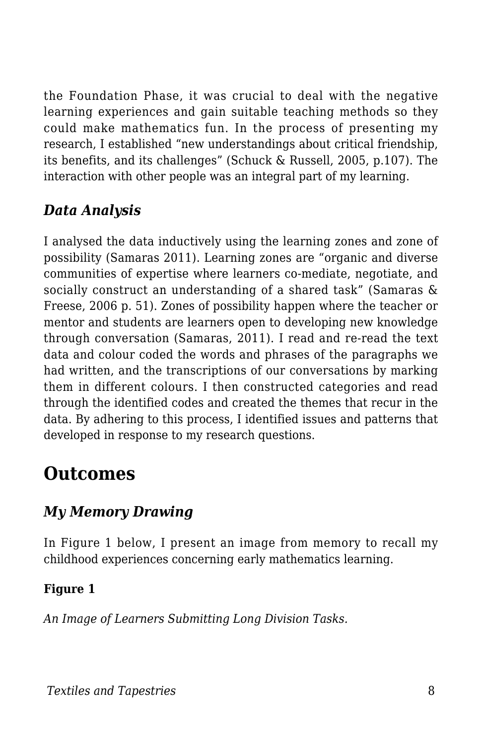the Foundation Phase, it was crucial to deal with the negative learning experiences and gain suitable teaching methods so they could make mathematics fun. In the process of presenting my research, I established "new understandings about critical friendship, its benefits, and its challenges" (Schuck & Russell, 2005, p.107). The interaction with other people was an integral part of my learning.

## *Data Analysis*

I analysed the data inductively using the learning zones and zone of possibility (Samaras 2011). Learning zones are "organic and diverse communities of expertise where learners co-mediate, negotiate, and socially construct an understanding of a shared task" (Samaras & Freese, 2006 p. 51). Zones of possibility happen where the teacher or mentor and students are learners open to developing new knowledge through conversation (Samaras, 2011). I read and re-read the text data and colour coded the words and phrases of the paragraphs we had written, and the transcriptions of our conversations by marking them in different colours. I then constructed categories and read through the identified codes and created the themes that recur in the data. By adhering to this process, I identified issues and patterns that developed in response to my research questions.

## **Outcomes**

## *My Memory Drawing*

In Figure 1 below, I present an image from memory to recall my childhood experiences concerning early mathematics learning.

### **Figure 1**

*An Image of Learners Submitting Long Division Tasks.*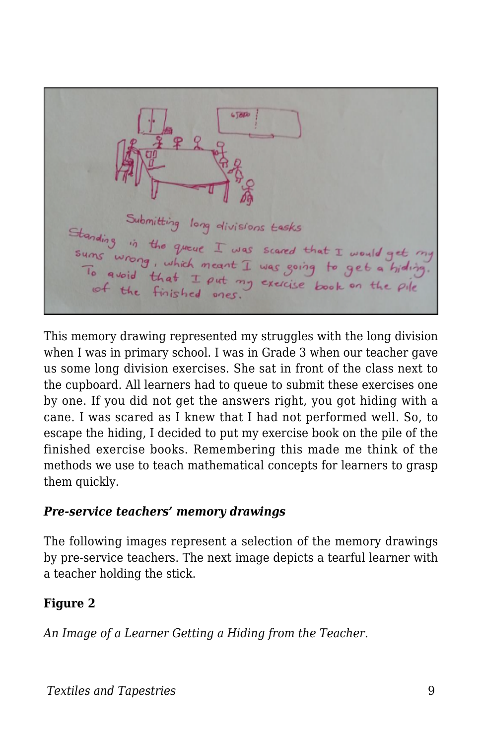$6580$ Submitting long divisions tasks Standing in the queue I was scared that I would get<br>sums wrong, which meant I was essing to get a hid sums wrong, which meant I was scared that I would get To avoid that I put my exercise book on the pile<br>of the finished ones. of the finished ones.

This memory drawing represented my struggles with the long division when I was in primary school. I was in Grade 3 when our teacher gave us some long division exercises. She sat in front of the class next to the cupboard. All learners had to queue to submit these exercises one by one. If you did not get the answers right, you got hiding with a cane. I was scared as I knew that I had not performed well. So, to escape the hiding, I decided to put my exercise book on the pile of the finished exercise books. Remembering this made me think of the methods we use to teach mathematical concepts for learners to grasp them quickly.

#### *Pre-service teachers' memory drawings*

The following images represent a selection of the memory drawings by pre-service teachers. The next image depicts a tearful learner with a teacher holding the stick.

### **Figure 2**

*An Image of a Learner Getting a Hiding from the Teacher.*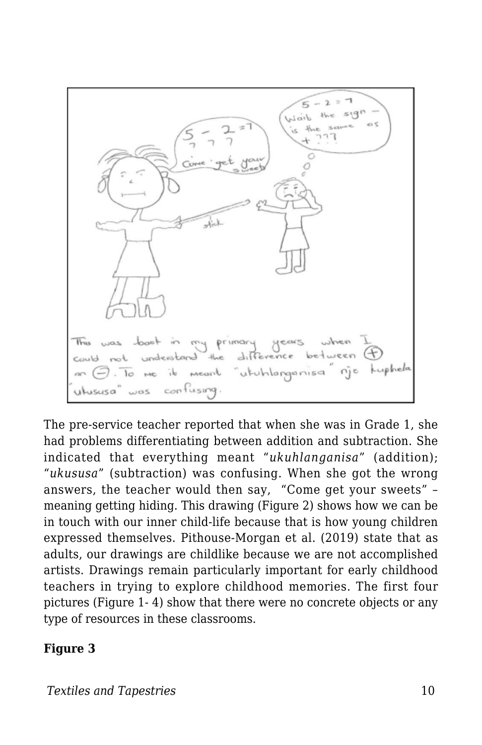primary understand the meant utuhlangar

The pre-service teacher reported that when she was in Grade 1, she had problems differentiating between addition and subtraction. She indicated that everything meant "*ukuhlanganisa*" (addition); "*ukususa*" (subtraction) was confusing. When she got the wrong answers, the teacher would then say, "Come get your sweets" – meaning getting hiding. This drawing (Figure 2) shows how we can be in touch with our inner child-life because that is how young children expressed themselves. Pithouse-Morgan et al. (2019) state that as adults, our drawings are childlike because we are not accomplished artists. Drawings remain particularly important for early childhood teachers in trying to explore childhood memories. The first four pictures (Figure 1- 4) show that there were no concrete objects or any type of resources in these classrooms.

#### **Figure 3**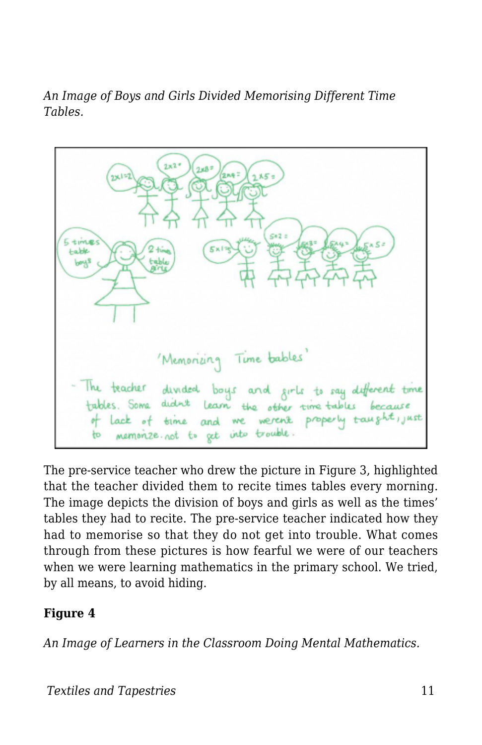*An Image of Boys and Girls Divided Memorising Different Time Tables.*



The pre-service teacher who drew the picture in Figure 3, highlighted that the teacher divided them to recite times tables every morning. The image depicts the division of boys and girls as well as the times' tables they had to recite. The pre-service teacher indicated how they had to memorise so that they do not get into trouble. What comes through from these pictures is how fearful we were of our teachers when we were learning mathematics in the primary school. We tried, by all means, to avoid hiding.

#### **Figure 4**

*An Image of Learners in the Classroom Doing Mental Mathematics.*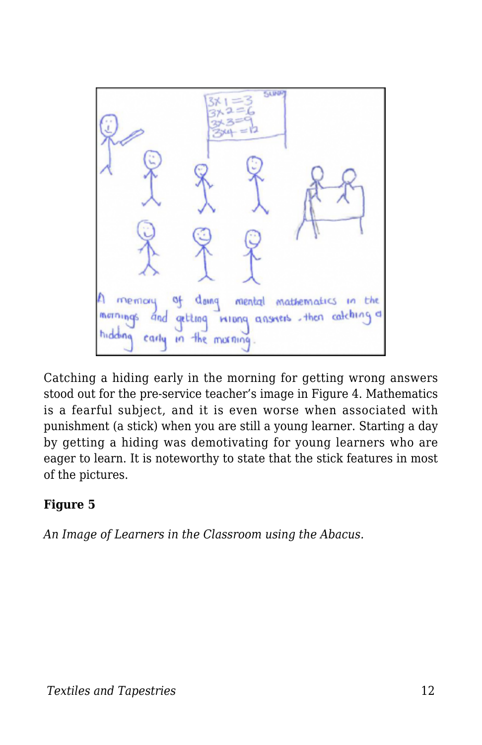

Catching a hiding early in the morning for getting wrong answers stood out for the pre-service teacher's image in Figure 4. Mathematics is a fearful subject, and it is even worse when associated with punishment (a stick) when you are still a young learner. Starting a day by getting a hiding was demotivating for young learners who are eager to learn. It is noteworthy to state that the stick features in most of the pictures.

#### **Figure 5**

*An Image of Learners in the Classroom using the Abacus.*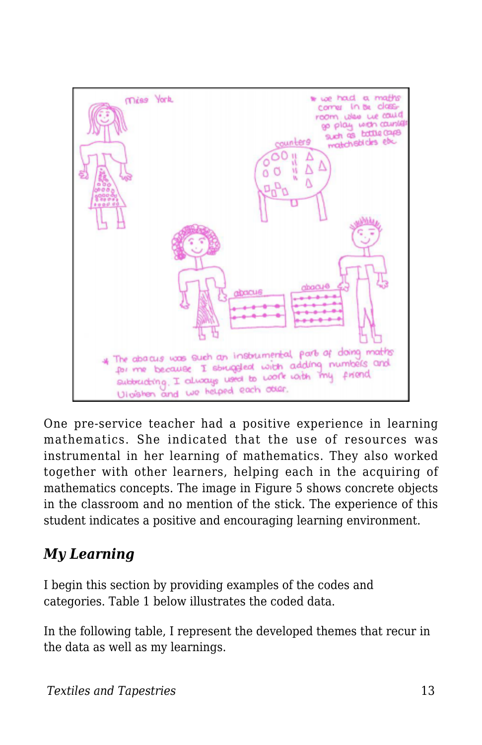

One pre-service teacher had a positive experience in learning mathematics. She indicated that the use of resources was instrumental in her learning of mathematics. They also worked together with other learners, helping each in the acquiring of mathematics concepts. The image in Figure 5 shows concrete objects in the classroom and no mention of the stick. The experience of this student indicates a positive and encouraging learning environment.

## *My Learning*

I begin this section by providing examples of the codes and categories. Table 1 below illustrates the coded data.

In the following table, I represent the developed themes that recur in the data as well as my learnings.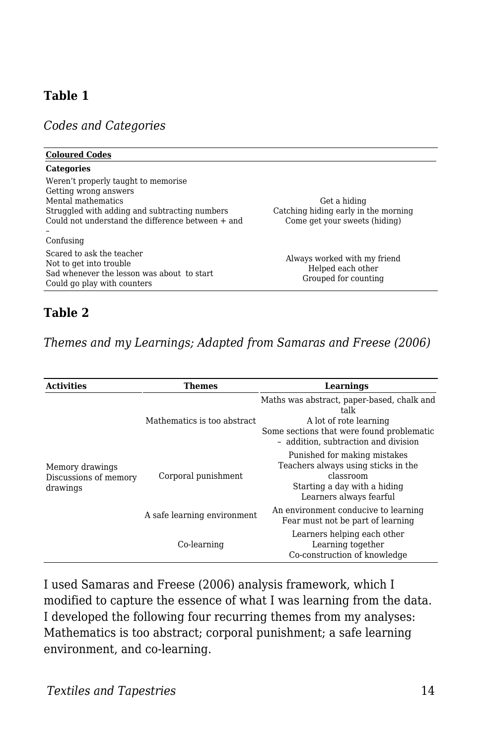#### **Table 1**

*Codes and Categories*

| <b>Coloured Codes</b>                                                                                                                                                                      |                                                                                       |
|--------------------------------------------------------------------------------------------------------------------------------------------------------------------------------------------|---------------------------------------------------------------------------------------|
| <b>Categories</b>                                                                                                                                                                          |                                                                                       |
| Weren't properly taught to memorise<br>Getting wrong answers<br>Mental mathematics<br>Struggled with adding and subtracting numbers<br>Could not understand the difference between $+$ and | Get a hiding<br>Catching hiding early in the morning<br>Come get your sweets (hiding) |
| Confusing                                                                                                                                                                                  |                                                                                       |
| Scared to ask the teacher<br>Not to get into trouble<br>Sad whenever the lesson was about to start<br>Could go play with counters                                                          | Always worked with my friend<br>Helped each other<br>Grouped for counting             |
|                                                                                                                                                                                            |                                                                                       |

#### **Table 2**

*Themes and my Learnings; Adapted from Samaras and Freese (2006)*

| <b>Activities</b>                                                                                                                                        | Themes                                                                    | Learnings                                                                                                                                                         |
|----------------------------------------------------------------------------------------------------------------------------------------------------------|---------------------------------------------------------------------------|-------------------------------------------------------------------------------------------------------------------------------------------------------------------|
| Mathematics is too abstract<br>Memory drawings<br>Corporal punishment<br>Discussions of memory<br>drawings<br>A safe learning environment<br>Co-learning |                                                                           | Maths was abstract, paper-based, chalk and<br>talk<br>A lot of rote learning<br>Some sections that were found problematic<br>- addition, subtraction and division |
|                                                                                                                                                          |                                                                           | Punished for making mistakes<br>Teachers always using sticks in the<br>classroom<br>Starting a day with a hiding<br>Learners always fearful                       |
|                                                                                                                                                          | An environment conducive to learning<br>Fear must not be part of learning |                                                                                                                                                                   |
|                                                                                                                                                          |                                                                           | Learners helping each other<br>Learning together<br>Co-construction of knowledge                                                                                  |

I used Samaras and Freese (2006) analysis framework, which I modified to capture the essence of what I was learning from the data. I developed the following four recurring themes from my analyses: Mathematics is too abstract; corporal punishment; a safe learning environment, and co-learning.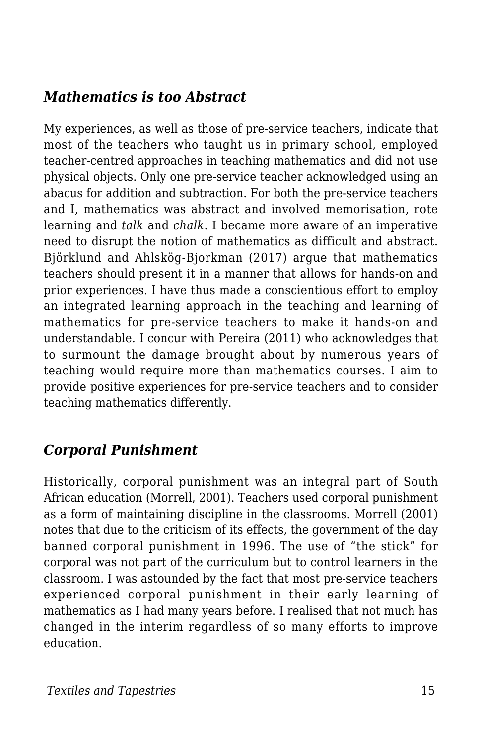## *Mathematics is too Abstract*

My experiences, as well as those of pre-service teachers, indicate that most of the teachers who taught us in primary school, employed teacher-centred approaches in teaching mathematics and did not use physical objects. Only one pre-service teacher acknowledged using an abacus for addition and subtraction. For both the pre-service teachers and I, mathematics was abstract and involved memorisation, rote learning and *talk* and *chalk*. I became more aware of an imperative need to disrupt the notion of mathematics as difficult and abstract. Björklund and Ahlskög-Bjorkman (2017) argue that mathematics teachers should present it in a manner that allows for hands-on and prior experiences. I have thus made a conscientious effort to employ an integrated learning approach in the teaching and learning of mathematics for pre-service teachers to make it hands-on and understandable. I concur with Pereira (2011) who acknowledges that to surmount the damage brought about by numerous years of teaching would require more than mathematics courses. I aim to provide positive experiences for pre-service teachers and to consider teaching mathematics differently.

## *Corporal Punishment*

Historically, corporal punishment was an integral part of South African education (Morrell, 2001). Teachers used corporal punishment as a form of maintaining discipline in the classrooms. Morrell (2001) notes that due to the criticism of its effects, the government of the day banned corporal punishment in 1996. The use of "the stick" for corporal was not part of the curriculum but to control learners in the classroom. I was astounded by the fact that most pre-service teachers experienced corporal punishment in their early learning of mathematics as I had many years before. I realised that not much has changed in the interim regardless of so many efforts to improve education.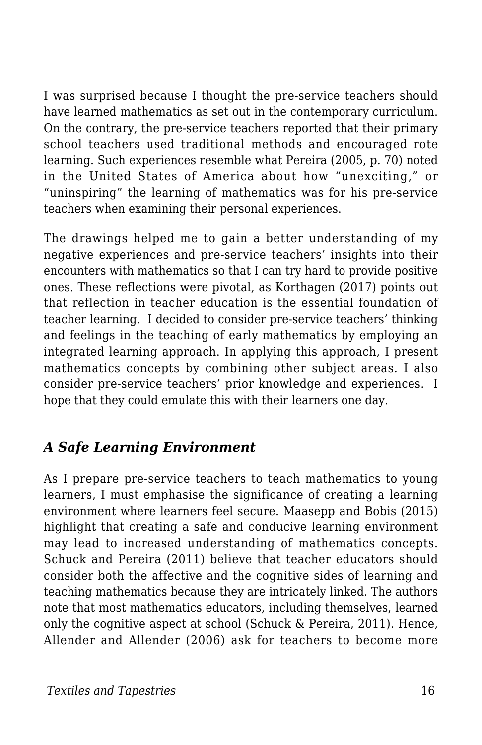I was surprised because I thought the pre-service teachers should have learned mathematics as set out in the contemporary curriculum. On the contrary, the pre-service teachers reported that their primary school teachers used traditional methods and encouraged rote learning. Such experiences resemble what Pereira (2005, p. 70) noted in the United States of America about how "unexciting," or "uninspiring" the learning of mathematics was for his pre-service teachers when examining their personal experiences.

The drawings helped me to gain a better understanding of my negative experiences and pre-service teachers' insights into their encounters with mathematics so that I can try hard to provide positive ones. These reflections were pivotal, as Korthagen (2017) points out that reflection in teacher education is the essential foundation of teacher learning. I decided to consider pre-service teachers' thinking and feelings in the teaching of early mathematics by employing an integrated learning approach. In applying this approach, I present mathematics concepts by combining other subject areas. I also consider pre-service teachers' prior knowledge and experiences. I hope that they could emulate this with their learners one day.

## *A Safe Learning Environment*

As I prepare pre-service teachers to teach mathematics to young learners, I must emphasise the significance of creating a learning environment where learners feel secure. Maasepp and Bobis (2015) highlight that creating a safe and conducive learning environment may lead to increased understanding of mathematics concepts. Schuck and Pereira (2011) believe that teacher educators should consider both the affective and the cognitive sides of learning and teaching mathematics because they are intricately linked. The authors note that most mathematics educators, including themselves, learned only the cognitive aspect at school (Schuck & Pereira, 2011). Hence, Allender and Allender (2006) ask for teachers to become more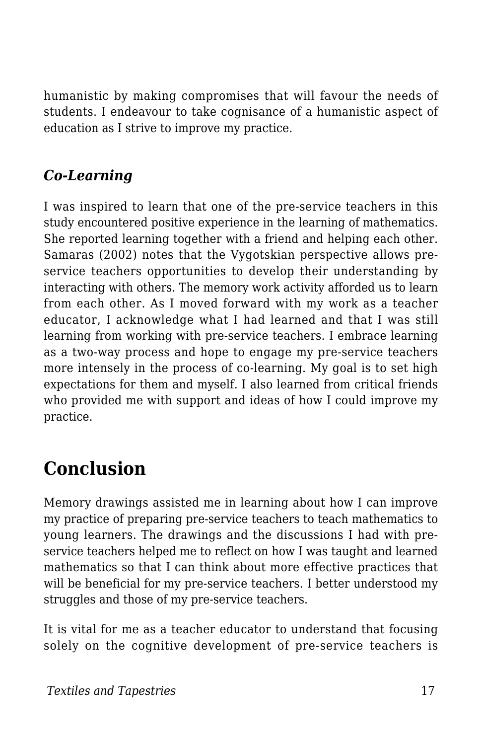humanistic by making compromises that will favour the needs of students. I endeavour to take cognisance of a humanistic aspect of education as I strive to improve my practice.

## *Co-Learning*

I was inspired to learn that one of the pre-service teachers in this study encountered positive experience in the learning of mathematics. She reported learning together with a friend and helping each other. Samaras (2002) notes that the Vygotskian perspective allows preservice teachers opportunities to develop their understanding by interacting with others. The memory work activity afforded us to learn from each other. As I moved forward with my work as a teacher educator, I acknowledge what I had learned and that I was still learning from working with pre-service teachers. I embrace learning as a two-way process and hope to engage my pre-service teachers more intensely in the process of co-learning. My goal is to set high expectations for them and myself. I also learned from critical friends who provided me with support and ideas of how I could improve my practice.

## **Conclusion**

Memory drawings assisted me in learning about how I can improve my practice of preparing pre-service teachers to teach mathematics to young learners. The drawings and the discussions I had with preservice teachers helped me to reflect on how I was taught and learned mathematics so that I can think about more effective practices that will be beneficial for my pre-service teachers. I better understood my struggles and those of my pre-service teachers.

It is vital for me as a teacher educator to understand that focusing solely on the cognitive development of pre-service teachers is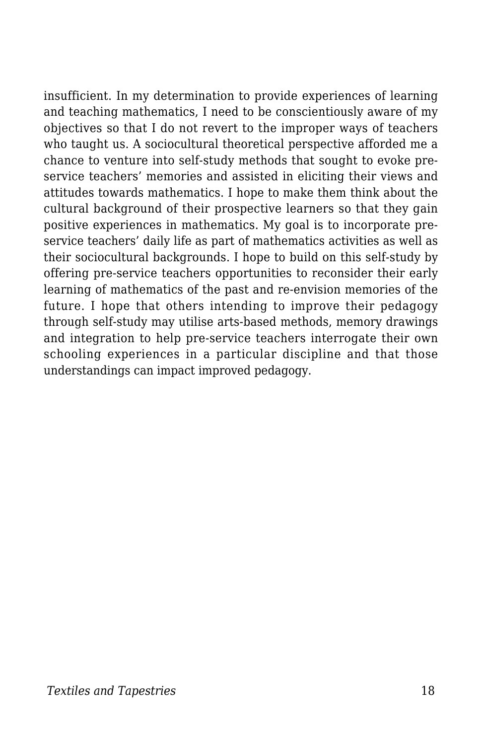insufficient. In my determination to provide experiences of learning and teaching mathematics, I need to be conscientiously aware of my objectives so that I do not revert to the improper ways of teachers who taught us. A sociocultural theoretical perspective afforded me a chance to venture into self-study methods that sought to evoke preservice teachers' memories and assisted in eliciting their views and attitudes towards mathematics. I hope to make them think about the cultural background of their prospective learners so that they gain positive experiences in mathematics. My goal is to incorporate preservice teachers' daily life as part of mathematics activities as well as their sociocultural backgrounds. I hope to build on this self-study by offering pre-service teachers opportunities to reconsider their early learning of mathematics of the past and re-envision memories of the future. I hope that others intending to improve their pedagogy through self-study may utilise arts-based methods, memory drawings and integration to help pre-service teachers interrogate their own schooling experiences in a particular discipline and that those understandings can impact improved pedagogy.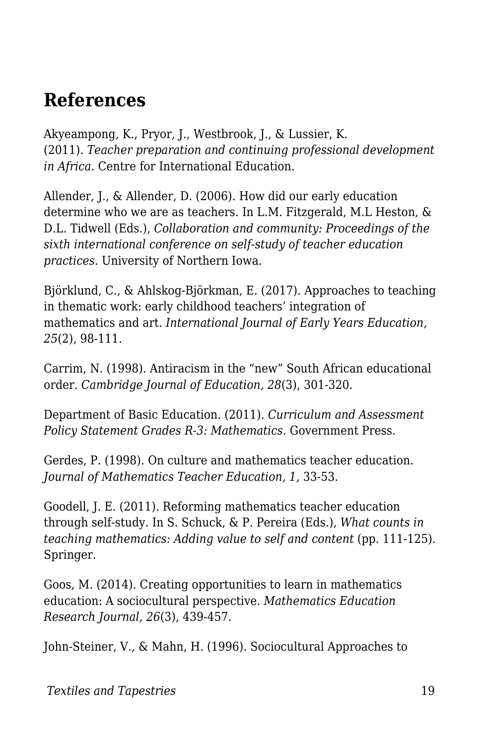## **References**

Akyeampong, K., Pryor, J., Westbrook, J., & Lussier, K. (2011). *Teacher preparation and continuing professional development in Africa*. Centre for International Education.

Allender, J., & Allender, D. (2006). How did our early education determine who we are as teachers. In L.M. Fitzgerald, M.L Heston, & D.L. Tidwell (Eds.), *Collaboration and community: Proceedings of the sixth international conference on self-study of teacher education practices.* University of Northern Iowa.

Björklund, C., & Ahlskog-Björkman, E. (2017). Approaches to teaching in thematic work: early childhood teachers' integration of mathematics and art. *International Journal of Early Years Education, 25*(2), 98-111.

Carrim, N. (1998). Antiracism in the "new" South African educational order. *Cambridge Journal of Education, 28*(3), 301-320.

Department of Basic Education. (2011). *Curriculum and Assessment Policy Statement Grades R-3: Mathematics*. Government Press.

Gerdes, P. (1998). On culture and mathematics teacher education. *Journal of Mathematics Teacher Education, 1,* 33-53.

Goodell, J. E. (2011). Reforming mathematics teacher education through self-study. In S. Schuck, & P. Pereira (Eds.), *What counts in teaching mathematics: Adding value to self and content (pp. 111-125).* Springer.

Goos, M. (2014). Creating opportunities to learn in mathematics education: A sociocultural perspective. *Mathematics Education Research Journal, 26*(3), 439-457.

John-Steiner, V., & Mahn, H. (1996). Sociocultural Approaches to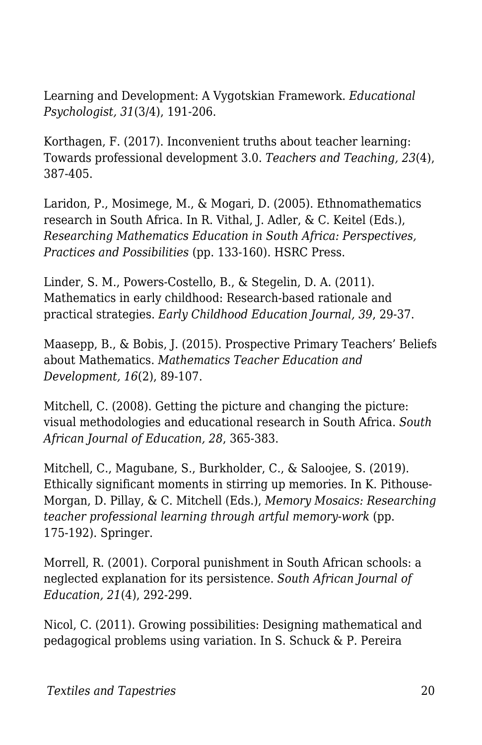Learning and Development: A Vygotskian Framework. *Educational Psychologist, 31*(3/4), 191-206.

Korthagen, F. (2017). Inconvenient truths about teacher learning: Towards professional development 3.0. *Teachers and Teaching, 23*(4), 387-405.

Laridon, P., Mosimege, M., & Mogari, D. (2005). Ethnomathematics research in South Africa. In R. Vithal, J. Adler, & C. Keitel (Eds.), *Researching Mathematics Education in South Africa: Perspectives, Practices and Possibilities* (pp. 133-160). HSRC Press.

Linder, S. M., Powers-Costello, B., & Stegelin, D. A. (2011). Mathematics in early childhood: Research-based rationale and practical strategies. *Early Childhood Education Journal, 39*, 29-37.

Maasepp, B., & Bobis, J. (2015). Prospective Primary Teachers' Beliefs about Mathematics. *Mathematics Teacher Education and Development, 16*(2), 89-107.

Mitchell, C. (2008). Getting the picture and changing the picture: visual methodologies and educational research in South Africa. *South African Journal of Education, 28*, 365-383.

Mitchell, C., Magubane, S., Burkholder, C., & Saloojee, S. (2019). Ethically significant moments in stirring up memories. In K. Pithouse-Morgan, D. Pillay, & C. Mitchell (Eds.), *Memory Mosaics: Researching teacher professional learning through artful memory-work* (pp. 175-192). Springer.

Morrell, R. (2001). Corporal punishment in South African schools: a neglected explanation for its persistence. *South African Journal of Education, 21*(4), 292-299.

Nicol, C. (2011). Growing possibilities: Designing mathematical and pedagogical problems using variation. In S. Schuck & P. Pereira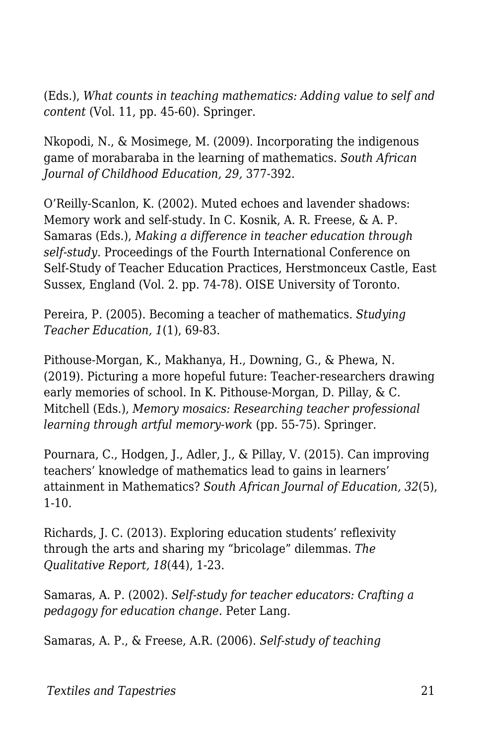(Eds.), *What counts in teaching mathematics: Adding value to self and content* (Vol. 11, pp. 45-60). Springer.

Nkopodi, N., & Mosimege, M. (2009). Incorporating the indigenous game of morabaraba in the learning of mathematics. *South African Journal of Childhood Education, 29,* 377-392.

O'Reilly-Scanlon, K. (2002). Muted echoes and lavender shadows: Memory work and self-study. In C. Kosnik, A. R. Freese, & A. P. Samaras (Eds.), *Making a difference in teacher education through self-study*. Proceedings of the Fourth International Conference on Self-Study of Teacher Education Practices, Herstmonceux Castle, East Sussex, England (Vol. 2. pp. 74-78). OISE University of Toronto.

Pereira, P. (2005). Becoming a teacher of mathematics. *Studying Teacher Education, 1*(1), 69-83.

Pithouse-Morgan, K., Makhanya, H., Downing, G., & Phewa, N. (2019). Picturing a more hopeful future: Teacher-researchers drawing early memories of school. In K. Pithouse-Morgan, D. Pillay, & C. Mitchell (Eds.), *Memory mosaics: Researching teacher professional learning through artful memory-work* (pp. 55-75). Springer.

Pournara, C., Hodgen, J., Adler, J., & Pillay, V. (2015). Can improving teachers' knowledge of mathematics lead to gains in learners' attainment in Mathematics? *South African Journal of Education, 32*(5), 1-10.

Richards, J. C. (2013). Exploring education students' reflexivity through the arts and sharing my "bricolage" dilemmas. *The Qualitative Report, 18*(44), 1-23.

Samaras, A. P. (2002). *Self-study for teacher educators: Crafting a pedagogy for education change.* Peter Lang.

Samaras, A. P., & Freese, A.R. (2006). *Self-study of teaching*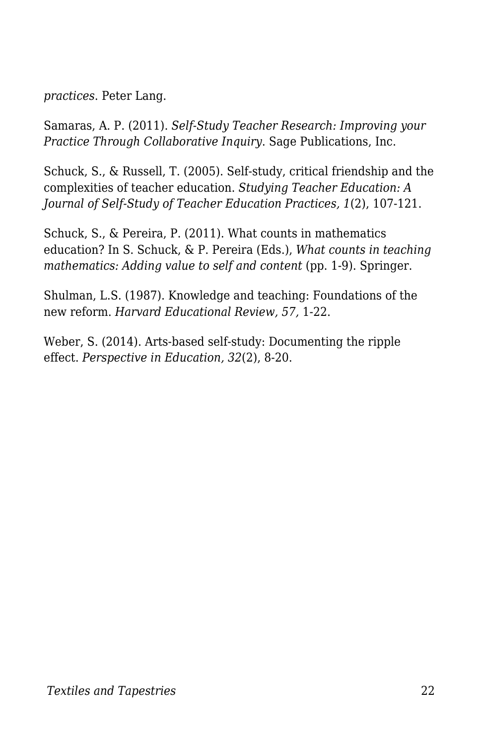*practices*. Peter Lang.

Samaras, A. P. (2011). *Self-Study Teacher Research: Improving your Practice Through Collaborative Inquiry*. Sage Publications, Inc.

Schuck, S., & Russell, T. (2005). Self-study, critical friendship and the complexities of teacher education. *Studying Teacher Education: A Journal of Self-Study of Teacher Education Practices, 1*(2), 107-121.

Schuck, S., & Pereira, P. (2011). What counts in mathematics education? In S. Schuck, & P. Pereira (Eds.), *What counts in teaching mathematics: Adding value to self and content (pp. 1-9). Springer.* 

Shulman, L.S. (1987). Knowledge and teaching: Foundations of the new reform. *Harvard Educational Review, 57,* 1-22.

Weber, S. (2014). Arts-based self-study: Documenting the ripple effect. *Perspective in Education, 32*(2), 8-20.